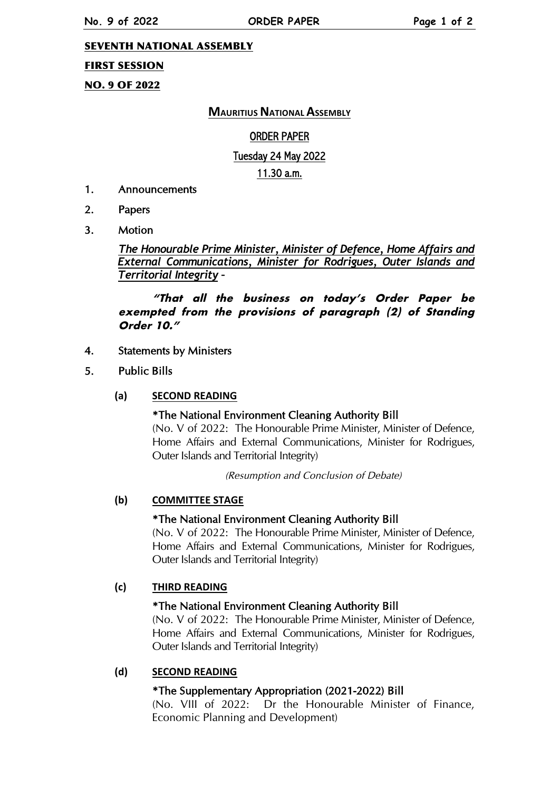### SEVENTH NATIONAL ASSEMBLY

### FIRST SESSION

# NO. 9 OF 2022

# **MAURITIUS NATIONAL ASSEMBLY**

### ORDER PAPER

### Tuesday 24 May 2022

### 11.30 a.m.

- 1. Announcements
- 2. Papers
- 3. Motion

*The Honourable Prime Minister, Minister of Defence, Home Affairs and External Communications, Minister for Rodrigues, Outer Islands and Territorial Integrity –*

**"That all the business on today's Order Paper be exempted from the provisions of paragraph (2) of Standing Order 10."**

### 4. Statements by Ministers

5. Public Bills

#### **(a) SECOND READING**

# \*The National Environment Cleaning Authority Bill

(No. V of 2022: The Honourable Prime Minister, Minister of Defence, Home Affairs and External Communications, Minister for Rodrigues, Outer Islands and Territorial Integrity)

(Resumption and Conclusion of Debate)

#### **(b) COMMITTEE STAGE**

#### \*The National Environment Cleaning Authority Bill

(No. V of 2022: The Honourable Prime Minister, Minister of Defence, Home Affairs and External Communications, Minister for Rodrigues, Outer Islands and Territorial Integrity)

#### **(c) THIRD READING**

#### \*The National Environment Cleaning Authority Bill

(No. V of 2022: The Honourable Prime Minister, Minister of Defence, Home Affairs and External Communications, Minister for Rodrigues, Outer Islands and Territorial Integrity)

# **(d) SECOND READING**

# \*The Supplementary Appropriation (2021-2022) Bill

(No. VIII of 2022: Dr the Honourable Minister of Finance, Economic Planning and Development)